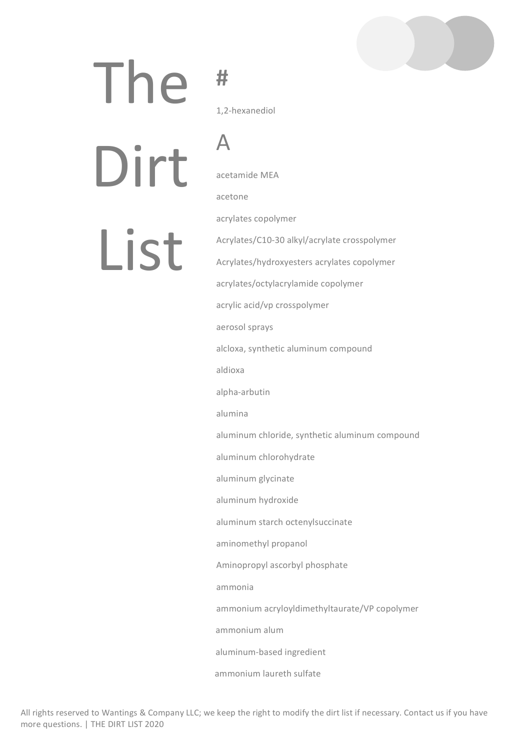# The

# **#**

A

1,2-hexanediol

Dirt 

List

acetamide MEA acetone acrylates copolymer Acrylates/C10-30 alkyl/acrylate crosspolymer Acrylates/hydroxyesters acrylates copolymer acrylates/octylacrylamide copolymer acrylic acid/vp crosspolymer aerosol sprays alcloxa, synthetic aluminum compound aldioxa alpha-arbutin alumina aluminum chloride, synthetic aluminum compound aluminum chlorohydrate aluminum glycinate aluminum hydroxide aluminum starch octenylsuccinate aminomethyl propanol Aminopropyl ascorbyl phosphate ammonia ammonium acryloyldimethyltaurate/VP copolymer ammonium alum aluminum-based ingredient

ammonium laureth sulfate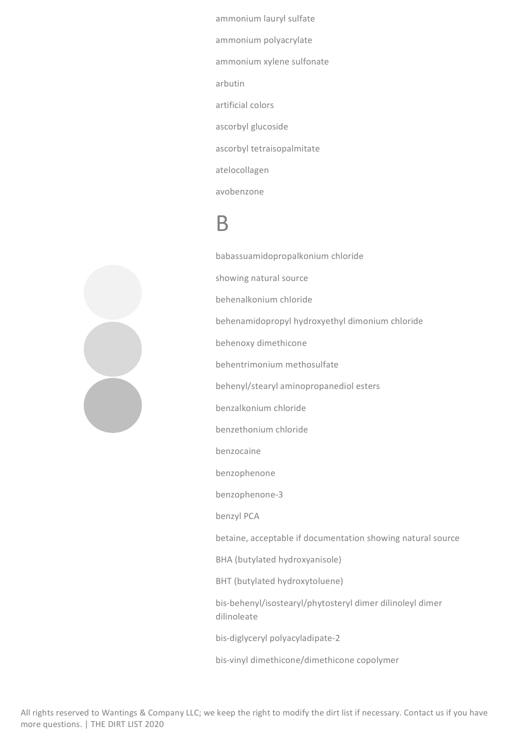ammonium lauryl sulfate ammonium polyacrylate ammonium xylene sulfonate arbutin artificial colors ascorbyl glucoside ascorbyl tetraisopalmitate atelocollagen avobenzone

#### B

babassuamidopropalkonium chloride showing natural source behenalkonium chloride behenamidopropyl hydroxyethyl dimonium chloride behenoxy dimethicone behentrimonium methosulfate behenyl/stearyl aminopropanediol esters benzalkonium chloride benzethonium chloride benzocaine benzophenone benzophenone-3 benzyl PCA betaine, acceptable if documentation showing natural source BHA (butylated hydroxyanisole) BHT (butylated hydroxytoluene) bis-behenyl/isostearyl/phytosteryl dimer dilinoleyl dimer dilinoleate bis-diglyceryl polyacyladipate-2 bis-vinyl dimethicone/dimethicone copolymer

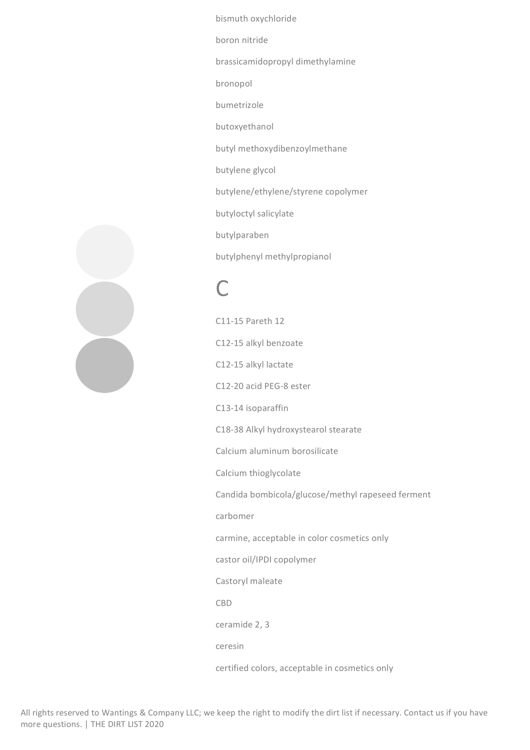bismuth oxychloride boron nitride brassicamidopropyl dimethylamine bronopol bumetrizole butoxyethanol butyl methoxydibenzoylmethane butylene glycol butylene/ethylene/styrene copolymer butyloctyl salicylate butylparaben butylphenyl methylpropianol

#### $\Gamma$

C11-15 Pareth 12 C12-15 alkyl benzoate C12-15 alkyl lactate C12-20 acid PEG-8 ester C13-14 isoparaffin C18-38 Alkyl hydroxystearol stearate Calcium aluminum borosilicate Calcium thioglycolate Candida bombicola/glucose/methyl rapeseed ferment carbomer carmine, acceptable in color cosmetics only castor oil/IPDI copolymer Castoryl maleate CBD ceramide 2, 3 ceresin certified colors, acceptable in cosmetics only

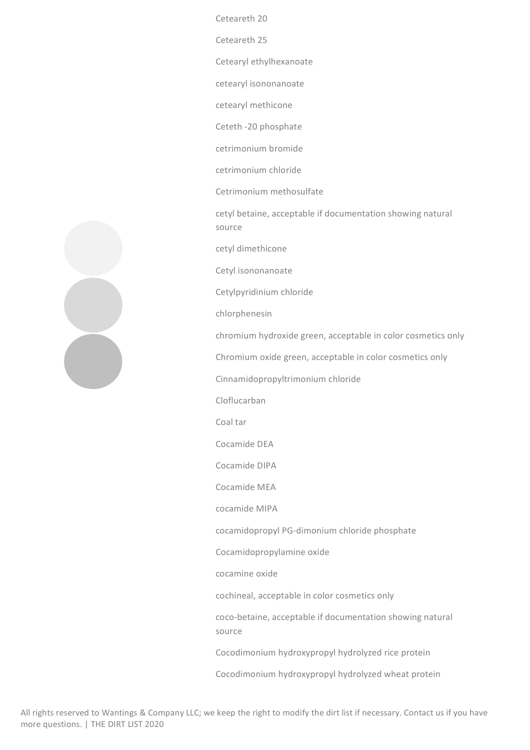Ceteareth 20

Ceteareth 25

Cetearyl ethylhexanoate

cetearyl isononanoate

cetearyl methicone

Ceteth -20 phosphate

cetrimonium bromide

cetrimonium chloride

Cetrimonium methosulfate

cetyl betaine, acceptable if documentation showing natural source

cetyl dimethicone

Cetyl isononanoate

Cetylpyridinium chloride

chlorphenesin

chromium hydroxide green, acceptable in color cosmetics only

Chromium oxide green, acceptable in color cosmetics only

Cinnamidopropyltrimonium chloride

Cloflucarban

Coal tar

Cocamide DFA

Cocamide DIPA

Cocamide MEA

cocamide MIPA

cocamidopropyl PG-dimonium chloride phosphate

Cocamidopropylamine oxide

cocamine oxide

cochineal, acceptable in color cosmetics only

coco-betaine, acceptable if documentation showing natural source

Cocodimonium hydroxypropyl hydrolyzed rice protein

Cocodimonium hydroxypropyl hydrolyzed wheat protein

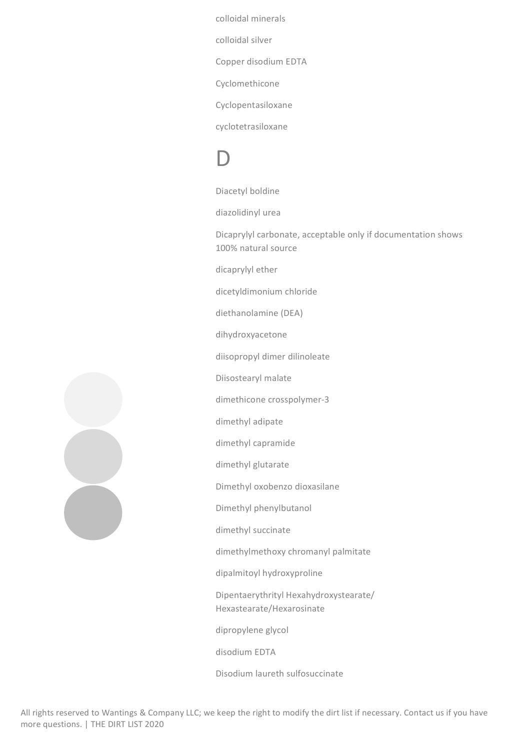colloidal minerals

colloidal silver

Copper disodium EDTA

Cyclomethicone

Cyclopentasiloxane

cyclotetrasiloxane

## D

Diacetyl boldine

diazolidinyl urea

Dicaprylyl carbonate, acceptable only if documentation shows 100% natural source

dicaprylyl ether

dicetyldimonium chloride

diethanolamine (DEA)

dihydroxyacetone

diisopropyl dimer dilinoleate

Diisostearyl malate

dimethicone crosspolymer-3

dimethyl adipate

dimethyl capramide

dimethyl glutarate

Dimethyl oxobenzo dioxasilane

Dimethyl phenylbutanol

dimethyl succinate

dimethylmethoxy chromanyl palmitate

dipalmitoyl hydroxyproline

Dipentaerythrityl Hexahydroxystearate/ Hexastearate/Hexarosinate

dipropylene glycol

disodium EDTA

Disodium laureth sulfosuccinate

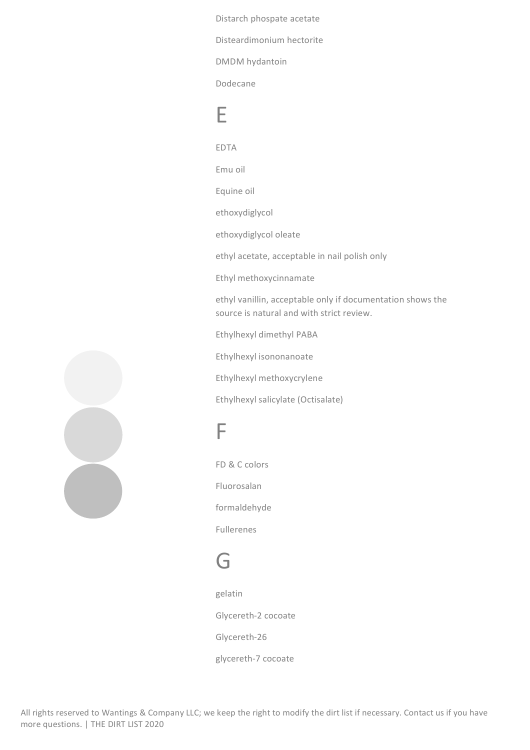Distarch phospate acetate Disteardimonium hectorite DMDM hydantoin

Dodecane

#### E

EDTA Emu oil Equine oil ethoxydiglycol ethoxydiglycol oleate ethyl acetate, acceptable in nail polish only Ethyl methoxycinnamate ethyl vanillin, acceptable only if documentation shows the source is natural and with strict review. Ethylhexyl dimethyl PABA Ethylhexyl isononanoate

Ethylhexyl methoxycrylene

Ethylhexyl salicylate (Octisalate)

#### F

FD & C colors Fluorosalan formaldehyde Fullerenes

#### G

gelatin Glycereth-2 cocoate Glycereth-26 glycereth-7 cocoate

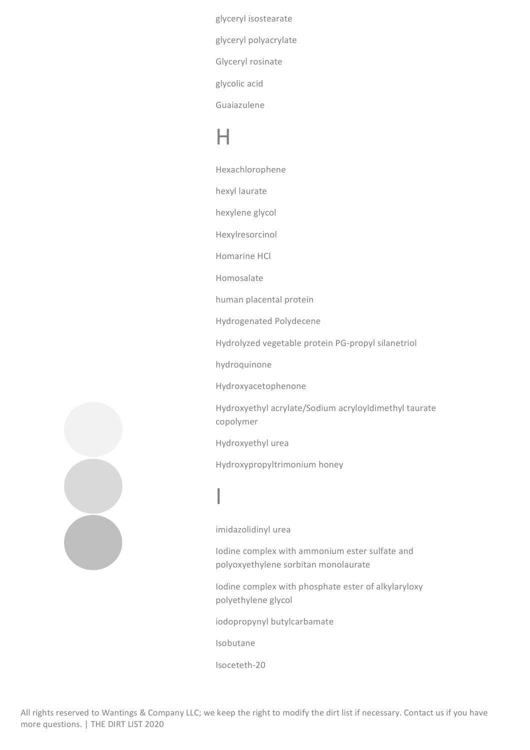glyceryl isostearate glyceryl polyacrylate Glyceryl rosinate glycolic acid Guaiazulene

#### $\mathsf{H}$

Hexachlorophene

hexyl laurate

hexylene glycol

Hexylresorcinol

Homarine HCl

Homosalate

human placental protein

Hydrogenated Polydecene

Hydrolyzed vegetable protein PG-propyl silanetriol

hydroquinone

Hydroxyacetophenone

Hydroxyethyl acrylate/Sodium acryloyldimethyl taurate copolymer

Hydroxyethyl urea

Hydroxypropyltrimonium honey

## I

imidazolidinyl urea

Iodine complex with ammonium ester sulfate and polyoxyethylene sorbitan monolaurate

Iodine complex with phosphate ester of alkylaryloxy polyethylene glycol

iodopropynyl butylcarbamate

Isobutane

Isoceteth-20

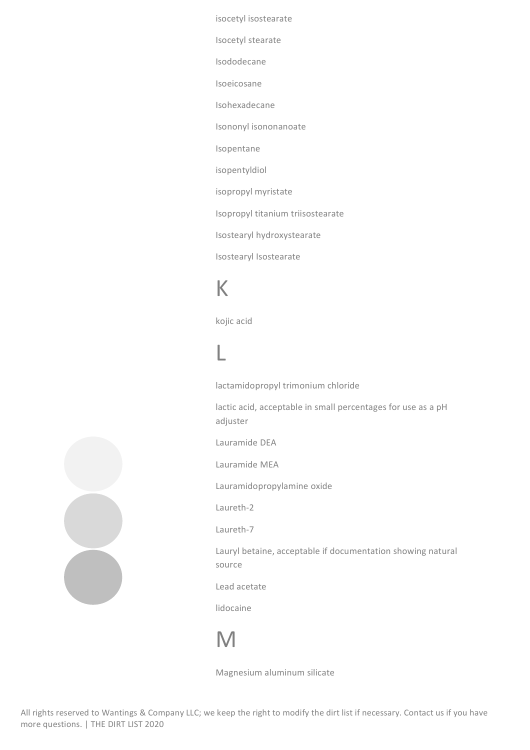isocetyl isostearate

Isocetyl stearate

Isododecane

Isoeicosane

Isohexadecane

Isononyl isononanoate

Isopentane

isopentyldiol

isopropyl myristate

Isopropyl titanium triisostearate

Isostearyl hydroxystearate

Isostearyl Isostearate

### K

kojic acid

## L

lactamidopropyl trimonium chloride

lactic acid, acceptable in small percentages for use as a pH adjuster

Lauramide DEA

Lauramide MEA

Lauramidopropylamine oxide

Laureth-2

Laureth-7

Lauryl betaine, acceptable if documentation showing natural source

Lead acetate

lidocaine

## M

Magnesium aluminum silicate

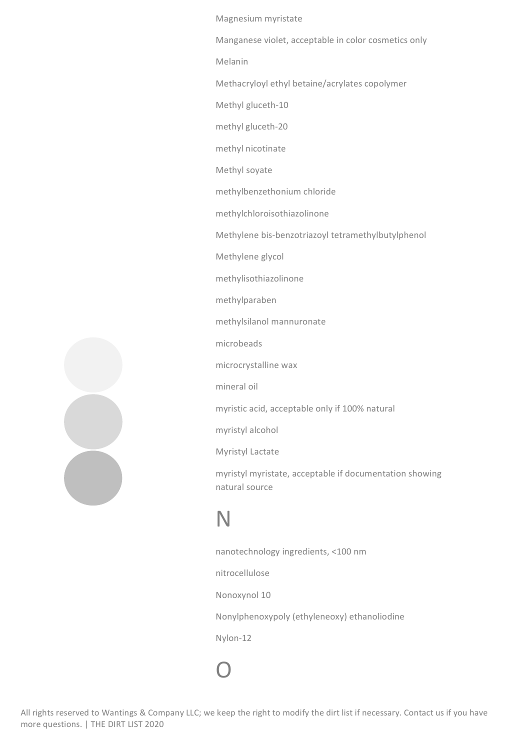Magnesium myristate

Manganese violet, acceptable in color cosmetics only

Melanin

Methacryloyl ethyl betaine/acrylates copolymer

Methyl gluceth-10

methyl gluceth-20

methyl nicotinate

Methyl soyate

methylbenzethonium chloride

methylchloroisothiazolinone

Methylene bis-benzotriazoyl tetramethylbutylphenol

Methylene glycol

methylisothiazolinone

methylparaben

methylsilanol mannuronate

microbeads

microcrystalline wax

mineral oil

myristic acid, acceptable only if 100% natural

myristyl alcohol

Myristyl Lactate

myristyl myristate, acceptable if documentation showing natural source

#### N

O

nanotechnology ingredients, <100 nm nitrocellulose Nonoxynol 10 Nonylphenoxypoly (ethyleneoxy) ethanoliodine Nylon-12

![](_page_8_Picture_24.jpeg)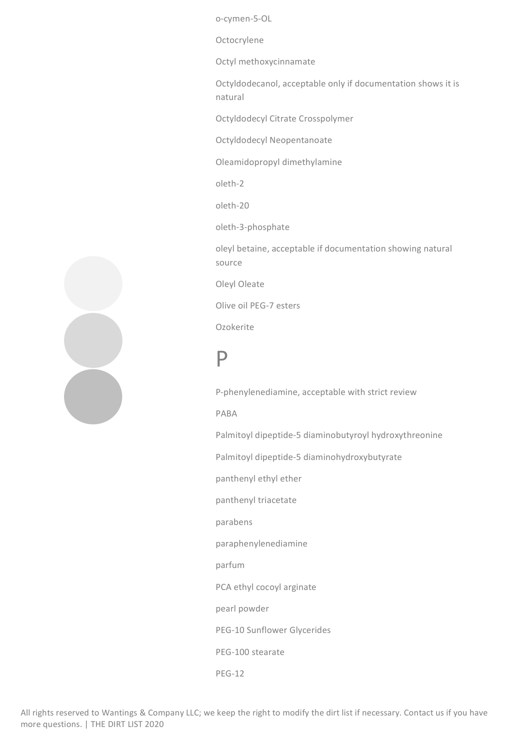o-cymen-5-OL

Octocrylene

Octyl methoxycinnamate

Octyldodecanol, acceptable only if documentation shows it is natural

Octyldodecyl Citrate Crosspolymer

Octyldodecyl Neopentanoate

Oleamidopropyl dimethylamine

oleth-2

oleth-20

oleth-3-phosphate

oleyl betaine, acceptable if documentation showing natural source

Oleyl Oleate

Olive oil PEG-7 esters

Ozokerite

#### P

P-phenylenediamine, acceptable with strict review PABA Palmitoyl dipeptide-5 diaminobutyroyl hydroxythreonine Palmitoyl dipeptide-5 diaminohydroxybutyrate panthenyl ethyl ether panthenyl triacetate parabens paraphenylenediamine parfum PCA ethyl cocoyl arginate pearl powder PEG-10 Sunflower Glycerides PEG-100 stearate

PEG-12

![](_page_9_Picture_17.jpeg)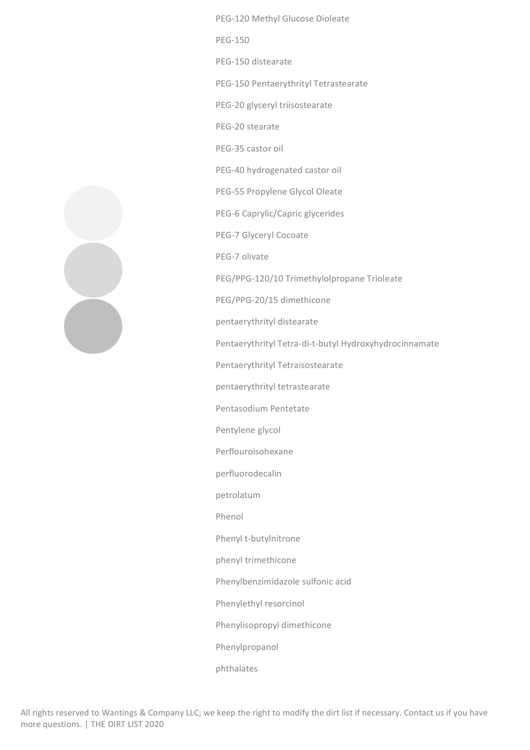PEG-120 Methyl Glucose Dioleate PEG-150 PEG-150 distearate PEG-150 Pentaerythrityl Tetrastearate PEG-20 glyceryl triisostearate PEG-20 stearate PEG-35 castor oil PEG-40 hydrogenated castor oil PEG-55 Propylene Glycol Oleate PEG-6 Caprylic/Capric glycerides PEG-7 Glyceryl Cocoate PEG-7 olivate PEG/PPG-120/10 Trimethylolpropane Trioleate PEG/PPG-20/15 dimethicone pentaerythrityl distearate Pentaerythrityl Tetra-di-t-butyl Hydroxyhydrocinnamate Pentaerythrityl Tetraisostearate pentaerythrityl tetrastearate Pentasodium Pentetate Pentylene glycol Perflouroisohexane perfluorodecalin petrolatum Phenol Phenyl t-butylnitrone phenyl trimethicone Phenylbenzimidazole sulfonic acid Phenylethyl resorcinol Phenylisopropyl dimethicone Phenylpropanol phthalates

![](_page_10_Picture_1.jpeg)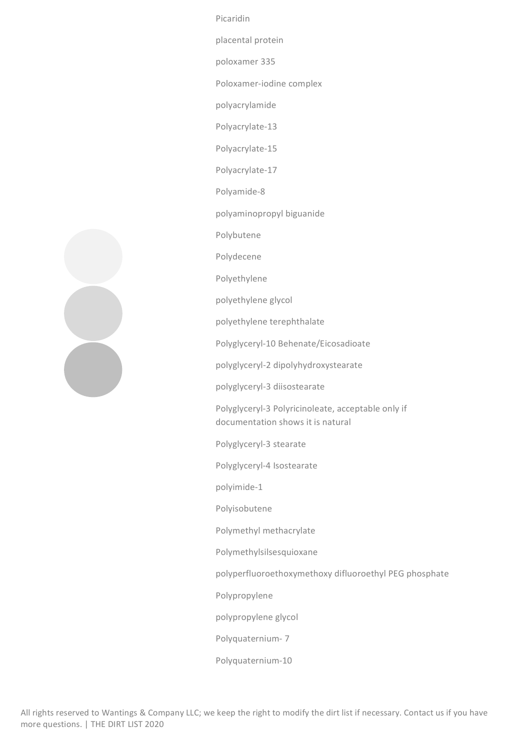Picaridin

placental protein

poloxamer 335

Poloxamer-iodine complex

polyacrylamide

Polyacrylate-13

Polyacrylate-15

Polyacrylate-17

Polyamide-8

polyaminopropyl biguanide

Polybutene

Polydecene

Polyethylene

polyethylene glycol

polyethylene terephthalate

Polyglyceryl-10 Behenate/Eicosadioate

polyglyceryl-2 dipolyhydroxystearate

polyglyceryl-3 diisostearate

Polyglyceryl-3 Polyricinoleate, acceptable only if documentation shows it is natural

Polyglyceryl-3 stearate

Polyglyceryl-4 Isostearate

polyimide-1

Polyisobutene

Polymethyl methacrylate

Polymethylsilsesquioxane

polyperfluoroethoxymethoxy difluoroethyl PEG phosphate

Polypropylene

polypropylene glycol

Polyquaternium- 7

Polyquaternium-10

![](_page_11_Figure_30.jpeg)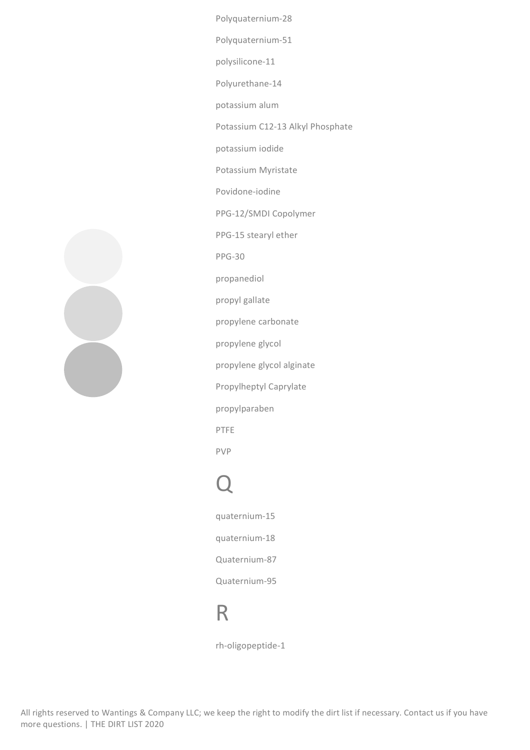Polyquaternium-28 Polyquaternium-51 polysilicone-11 Polyurethane-14 potassium alum Potassium C12-13 Alkyl Phosphate potassium iodide Potassium Myristate Povidone-iodine PPG-12/SMDI Copolymer PPG-15 stearyl ether PPG-30 propanediol propyl gallate propylene carbonate propylene glycol propylene glycol alginate Propylheptyl Caprylate propylparaben PTFE PVP

# Q

quaternium-15 quaternium-18 Quaternium-87 Quaternium-95

#### R

rh-oligopeptide-1

![](_page_12_Picture_5.jpeg)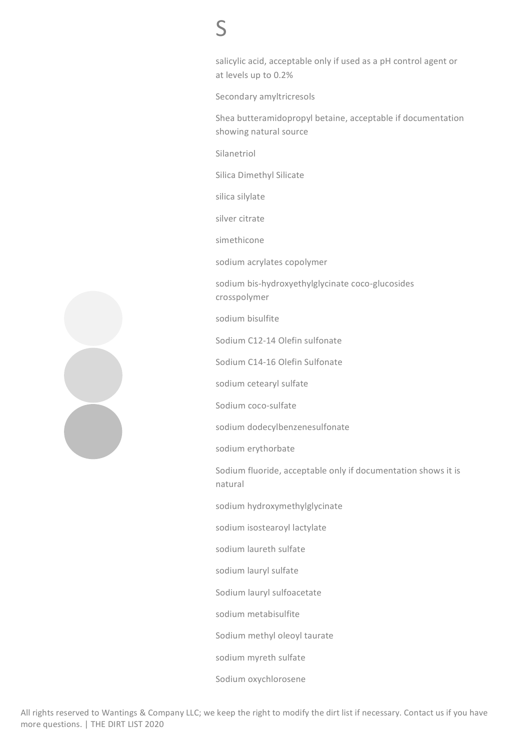## S

salicylic acid, acceptable only if used as a pH control agent or at levels up to 0.2%

Secondary amyltricresols

Shea butteramidopropyl betaine, acceptable if documentation showing natural source

Silanetriol

Silica Dimethyl Silicate

silica silylate

silver citrate

simethicone

sodium acrylates copolymer

sodium bis-hydroxyethylglycinate coco-glucosides crosspolymer

sodium bisulfite

Sodium C12-14 Olefin sulfonate

Sodium C14-16 Olefin Sulfonate

sodium cetearyl sulfate

Sodium coco-sulfate

sodium dodecylbenzenesulfonate

sodium erythorbate

Sodium fluoride, acceptable only if documentation shows it is natural

sodium hydroxymethylglycinate

sodium isostearoyl lactylate

sodium laureth sulfate

sodium lauryl sulfate

Sodium lauryl sulfoacetate

sodium metabisulfite

Sodium methyl oleoyl taurate

sodium myreth sulfate

Sodium oxychlorosene

![](_page_13_Figure_28.jpeg)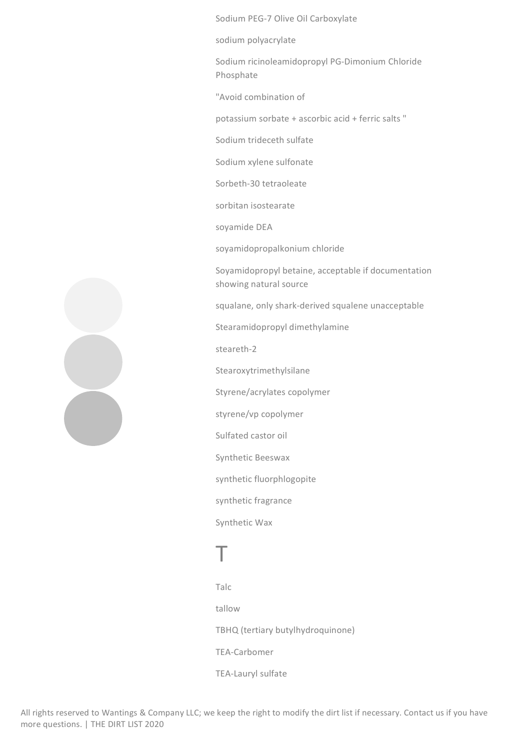Sodium PEG-7 Olive Oil Carboxylate

sodium polyacrylate

Sodium ricinoleamidopropyl PG-Dimonium Chloride Phosphate

"Avoid combination of

potassium sorbate  $+$  ascorbic acid  $+$  ferric salts "

Sodium trideceth sulfate

Sodium xylene sulfonate

Sorbeth-30 tetraoleate

sorbitan isostearate

soyamide DEA

soyamidopropalkonium chloride

Soyamidopropyl betaine, acceptable if documentation showing natural source

squalane, only shark-derived squalene unacceptable

Stearamidopropyl dimethylamine

steareth-2

Stearoxytrimethylsilane

Styrene/acrylates copolymer

styrene/vp copolymer

Sulfated castor oil

Synthetic Beeswax

synthetic fluorphlogopite

synthetic fragrance

Synthetic Wax

## T

Talc tallow TBHQ (tertiary butylhydroquinone) TEA-Carbomer TEA-Lauryl sulfate

![](_page_14_Picture_25.jpeg)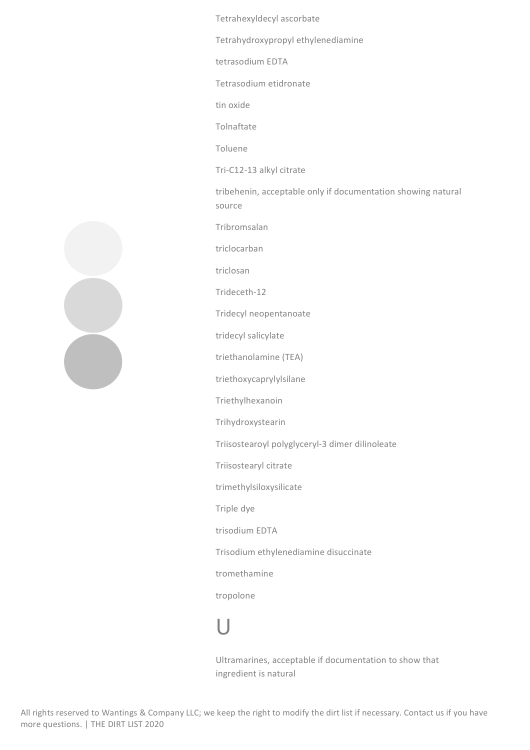Tetrahexyldecyl ascorbate

Tetrahydroxypropyl ethylenediamine

tetrasodium EDTA

Tetrasodium etidronate

tin oxide

Tolnaftate

Toluene

Tri-C12-13 alkyl citrate

tribehenin, acceptable only if documentation showing natural source

Tribromsalan

triclocarban

triclosan

Trideceth-12

Tridecyl neopentanoate

tridecyl salicylate

triethanolamine (TEA)

triethoxycaprylylsilane

Triethylhexanoin

Trihydroxystearin

Triisostearoyl polyglyceryl-3 dimer dilinoleate

Triisostearyl citrate

trimethylsiloxysilicate

Triple dye

trisodium EDTA

Trisodium ethylenediamine disuccinate

tromethamine

tropolone

## U

Ultramarines, acceptable if documentation to show that ingredient is natural

![](_page_15_Picture_29.jpeg)